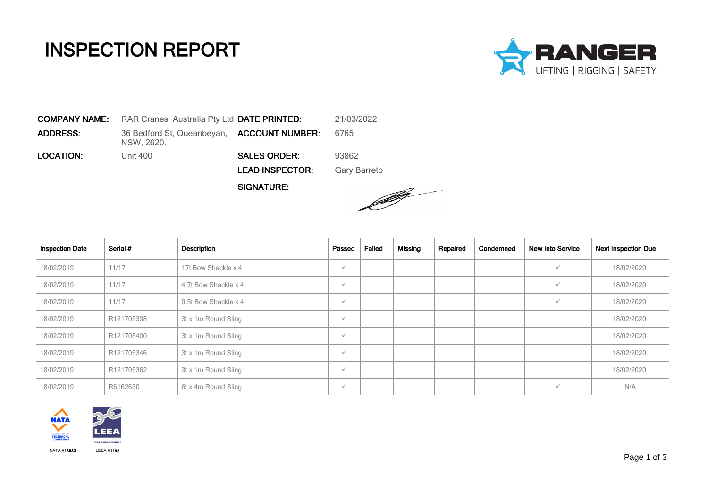## INSPECTION REPORT



COMPANY NAME: RAR Cranes Australia Pty Ltd DATE PRINTED: 21/03/2022 **ADDRESS:** 36 Bedford St, Queanbeyan, **ACCOUNT NUMBER:** 6765 NSW, 2620. LOCATION: Unit 400 SALES ORDER: 93862 LEAD INSPECTOR: Gary Barreto

SIGNATURE:



| <b>Inspection Date</b> | Serial #   | Description          | Passed       | Failed | <b>Missing</b> | Repaired | Condemned | <b>New Into Service</b> | <b>Next Inspection Due</b> |
|------------------------|------------|----------------------|--------------|--------|----------------|----------|-----------|-------------------------|----------------------------|
| 18/02/2019             | 11/17      | 17t Bow Shackle x 4  | $\checkmark$ |        |                |          |           |                         | 18/02/2020                 |
| 18/02/2019             | 11/17      | 4.7t Bow Shackle x 4 | $\checkmark$ |        |                |          |           |                         | 18/02/2020                 |
| 18/02/2019             | 11/17      | 9.5t Bow Shackle x 4 | $\checkmark$ |        |                |          |           |                         | 18/02/2020                 |
| 18/02/2019             | R121705398 | 3t x 1m Round Sling  | $\checkmark$ |        |                |          |           |                         | 18/02/2020                 |
| 18/02/2019             | R121705400 | 3t x 1m Round Sling  | $\checkmark$ |        |                |          |           |                         | 18/02/2020                 |
| 18/02/2019             | R121705346 | 3t x 1m Round Sling  | $\checkmark$ |        |                |          |           |                         | 18/02/2020                 |
| 18/02/2019             | R121705362 | 3t x 1m Round Sling  | $\checkmark$ |        |                |          |           |                         | 18/02/2020                 |
| 18/02/2019             | R6162630   | 6t x 4m Round Sling  | $\checkmark$ |        |                |          |           |                         | N/A                        |

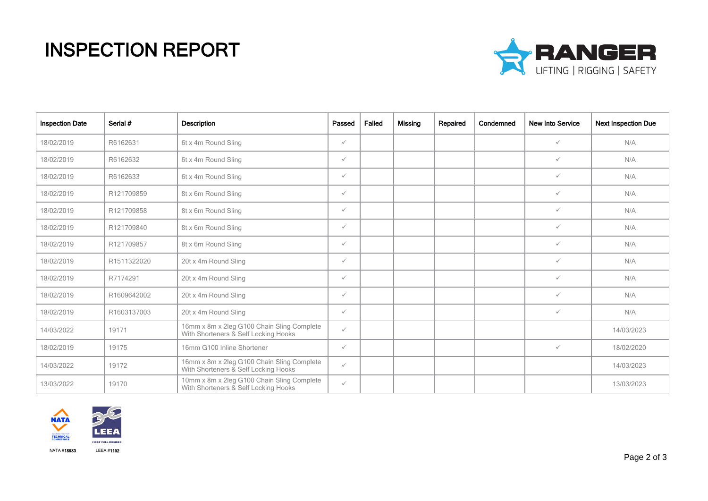## INSPECTION REPORT



| <b>Inspection Date</b> | Serial #    | <b>Description</b>                                                                 | Passed       | Failed | Missing | Repaired | Condemned | <b>New Into Service</b> | <b>Next Inspection Due</b> |
|------------------------|-------------|------------------------------------------------------------------------------------|--------------|--------|---------|----------|-----------|-------------------------|----------------------------|
| 18/02/2019             | R6162631    | 6t x 4m Round Sling                                                                | $\checkmark$ |        |         |          |           | $\checkmark$            | N/A                        |
| 18/02/2019             | R6162632    | 6t x 4m Round Sling                                                                | $\checkmark$ |        |         |          |           | $\checkmark$            | N/A                        |
| 18/02/2019             | R6162633    | 6t x 4m Round Sling                                                                | $\checkmark$ |        |         |          |           | $\checkmark$            | N/A                        |
| 18/02/2019             | R121709859  | 8t x 6m Round Sling                                                                | $\checkmark$ |        |         |          |           | $\checkmark$            | N/A                        |
| 18/02/2019             | R121709858  | 8t x 6m Round Sling                                                                | $\checkmark$ |        |         |          |           | $\checkmark$            | N/A                        |
| 18/02/2019             | R121709840  | 8t x 6m Round Sling                                                                | $\checkmark$ |        |         |          |           | $\checkmark$            | N/A                        |
| 18/02/2019             | R121709857  | 8t x 6m Round Sling                                                                | $\checkmark$ |        |         |          |           | $\checkmark$            | N/A                        |
| 18/02/2019             | R1511322020 | 20t x 4m Round Sling                                                               | $\checkmark$ |        |         |          |           | $\checkmark$            | N/A                        |
| 18/02/2019             | R7174291    | 20t x 4m Round Sling                                                               | $\checkmark$ |        |         |          |           | $\checkmark$            | N/A                        |
| 18/02/2019             | R1609642002 | 20t x 4m Round Sling                                                               | $\checkmark$ |        |         |          |           | $\checkmark$            | N/A                        |
| 18/02/2019             | R1603137003 | 20t x 4m Round Sling                                                               | $\checkmark$ |        |         |          |           | $\checkmark$            | N/A                        |
| 14/03/2022             | 19171       | 16mm x 8m x 2leg G100 Chain Sling Complete<br>With Shorteners & Self Locking Hooks | $\checkmark$ |        |         |          |           |                         | 14/03/2023                 |
| 18/02/2019             | 19175       | 16mm G100 Inline Shortener                                                         | $\checkmark$ |        |         |          |           | $\checkmark$            | 18/02/2020                 |
| 14/03/2022             | 19172       | 16mm x 8m x 2leg G100 Chain Sling Complete<br>With Shorteners & Self Locking Hooks | $\checkmark$ |        |         |          |           |                         | 14/03/2023                 |
| 13/03/2022             | 19170       | 10mm x 8m x 2leg G100 Chain Sling Complete<br>With Shorteners & Self Locking Hooks | $\checkmark$ |        |         |          |           |                         | 13/03/2023                 |